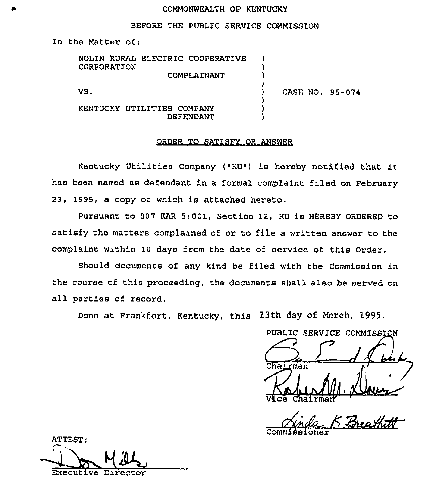#### COMMONWEALTH OF KENTUCKY

#### BEFORE THE PUBLIC SERVICE COMMISSION

In the Matter of:

NOLIN RURAL ELECTRIC COOPERATIVE CORPORATION COMPLAINANT ) ) )

VS.

) CASE NO. 95-074

KENTUCKY UTILITIES COMPANY DEFENDANT

### ORDER TO SATISFY OR ANSWER

)

) ) )

Kentucky Utilities Company ("KU") is hereby notified that it has been named as defendant in a formal complaint filed on February 23, 1995, a copy of which is attached hereto,

Pursuant to 807 KAR 5:001, Section 12, KU is HEREBY ORDERED to satisfy the matters complained of or to file a written answer to the complaint within 10 days from the date of service of this Order.

Should documents of any kind be filed with the Commission in the course of this proceeding, the documents shall also be served on all parties of record.

Done at Frankfort, Kentucky, this 13th day of March, 1995,

PUBLIC SERVICE COMMISSION Chairman Vice Chairma

Commissione

ATTEST: Executive Director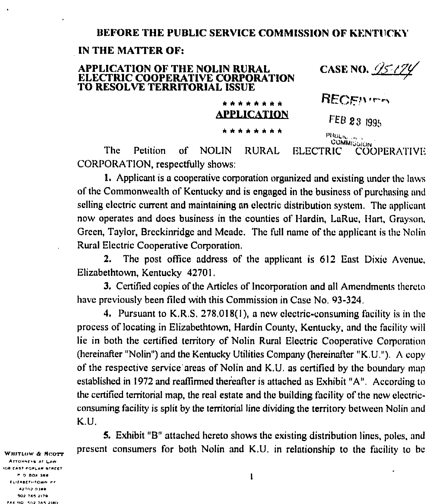# BEFORE THE PUBLIC SERVICE COMMISSION OF KENTUCKY

## IN THE MATTER OF:

#### CASE NO. 25-2 **APPLICATION OF THE NOLIN RURAL** ELECTRIC COOPERATIVE CORPORATION TO RESOLVE TERRITORIAL ISSUE RECENTER \* \* \* \* \* \* \* \*

PHILIC ... **COMMISSION** The Petition of **NOLIN RURAL ELECTRIC COOPERATIVE** CORPORATION, respectfully shows:

**APPLICATION** 

\* \* \* \* \* \* \* \*

FEB 23 1995

1. Applicant is a cooperative corporation organized and existing under the laws of the Commonwealth of Kentucky and is engaged in the business of purchasing and selling electric current and maintaining an electric distribution system. The applicant now operates and does business in the counties of Hardin, LaRue, Hart, Grayson, Green, Taylor, Breckinridge and Meade. The full name of the applicant is the Nolin Rural Electric Cooperative Corporation.

The post office address of the applicant is 612 East Dixie Avenue, 2. Elizabethtown, Kentucky 42701.

3. Certified copies of the Articles of Incorporation and all Amendments thereto have previously been filed with this Commission in Case No. 93-324.

4. Pursuant to K.R.S. 278.018(1), a new electric-consuming facility is in the process of locating in Elizabethtown, Hardin County, Kentucky, and the facility will lie in both the certified territory of Nolin Rural Electric Cooperative Corporation (hereinafter "Nolin") and the Kentucky Utilities Company (hereinafter "K.U."). A copy of the respective service areas of Nolin and K.U. as certified by the boundary map established in 1972 and reaffirmed thereafter is attached as Exhibit "A". According to the certified territorial map, the real estate and the building facility of the new electricconsuming facility is split by the territorial line dividing the territory between Nolin and K.U.

5. Exhibit "B" attached hereto shows the existing distribution lines, poles, and present consumers for both Nolin and K.U. in relationship to the facility to be

WHITLOW & SCOTT ATTONNEYS AT LAW ION EAST POPLAR STREET P O BOX 189 ELIZABETHTOWN PY 42702-0189 502 785 2179 FAX NO. 502 765 2180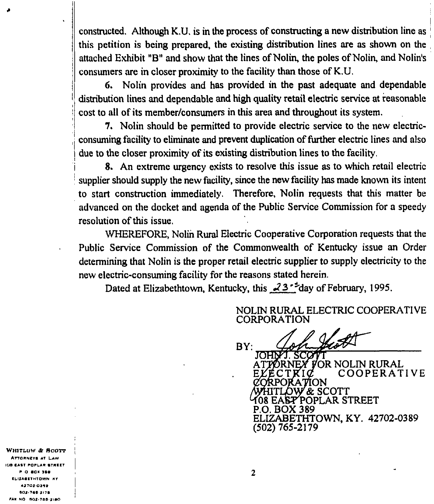constructed. Although K.U. is in the process of constructing a new distribution line as 'his petition is being prepared, the existing distribution lines are as shown on the attached Exhibit "B" and show that the lines of Nolin, the poles of Nolin, and Nolin's consumers are in closer proximity to the facility than those of K.U.

6. Nolin provides and has provided in the past adequate and dependable distribution lines and dependable and high quality retail electric service at reasonable cost to all of its member/consumers in this area and throughout its system.

7. Nolin should be permitted to provide electric service to the new electric consuming facility to eliminate and prevent duplication of further electric lines and also due to the closer proximity of its existing distribution lines to the facility.

8. An extreme urgency exists to resolve this issue as to which retail electric supplier should supply the new facility, since the new facility has made known its intent to start construction immediately. Therefore, Nolin requests that this matter be advanced on the docket and agenda of the Public Service Commission for a speedy resolution of this issue,

WHEREFORE, Nolin Rural Electric Cooperative Corporation requests that the Public Service Commission of the Commonwealth of Kentucky issue an Order determining that Nolin is the proper retail electric supplier to supply electricity to the new electric-consuming facility for the reasons stated herein,

Dated at Elizabethtown, Kentucky, this  $\sqrt{3}$ <sup>+</sup>day of February, 1995.

NOLIN RURAL ELECTRIC COOPERATI VE CORPORATION

 $BY:$ 

JOHNYJ. SCOV ATTORNEY FOR NOLIN RURAL COOPERATIVE CORPORATION HITLOW & SCOTT 108 EASP POPLAR STREET P,O. BOX 389 ELIZABETHTOWN, KY. 42702-0389 (502) 765-2179

WHITLUW & SCOTT **ATTORNEYS AT LAW IDG EAST POPLAR ATHEET** P O BOX 359 ELIZABETHTOWN AY <sup>~</sup> I TOT OT'IC 002-768-2176 FAK NO. 502-765-2160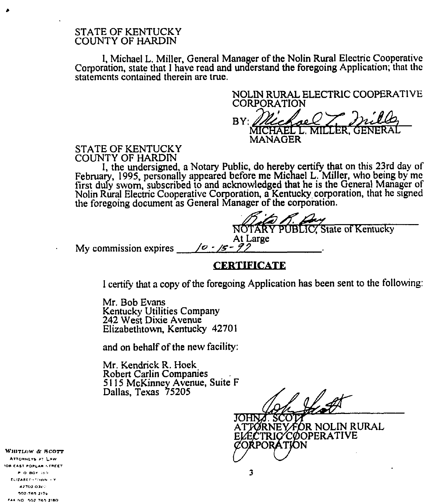## STATE OF KENTUCKY COUNTY OF HARDIN

I, Michael L. Miller, General Manager of the Nolin Rwal Electric Cooperative Corporation, state that <sup>I</sup> have read and understand the foregoing Application; that the statements contained therein are true.

NOLIN RURAL ELECTRIC COOPERATIVE CORPORATION  $BY:$ MICHAEL L, MILLER, GENERAL IN RURAL ELECTRON MANAGER

### STATE OF KENTUCKY COUNTY OF HARDIN

I, the undersigned, a Notary Public, do hereby certify that on this 23rd day of February, 1995, personally appeared before me Michael L. Miller, who being by mc first duly sworn, subscribed to and acknowledged that he is the General Manager of Nolin Rural Electric Cooperative Corporation, a Kentucky corporation, that he signed the foregoing document as General Manager of the corporation.

**NRY PUBLIC** State of Kentucky At Large<br>/*0 - /5 - 9/* 

My commission expires

# **CERTIFICATE**

I certify that a copy of the foregoing Application has been sent to the following:

Mr. Bob Evans Kentucky Utilities Company 242 West Dixie Avenue Elizabethtown, Kentucky 42701

and on behalf of the new facility:

Mr. Kendrick R. Hock Robert Carlin Companies 5115 McKinney Avenue, Suite F Dallas, Texas 75205

JOHNA. SCO. ATTØRNEY FOR NOLIN RURAL ELECTRIC/CØOPERATIVE<br>CORPORATION

WHITLOW & SCOTT LYS AT LAW OB CAST POPLAR STREET FO BOY IST ELIZABLEH FOWN + Y 502 165 2174 FALLNO 502 765-2160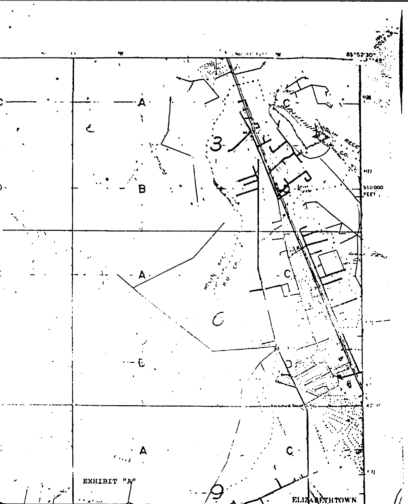